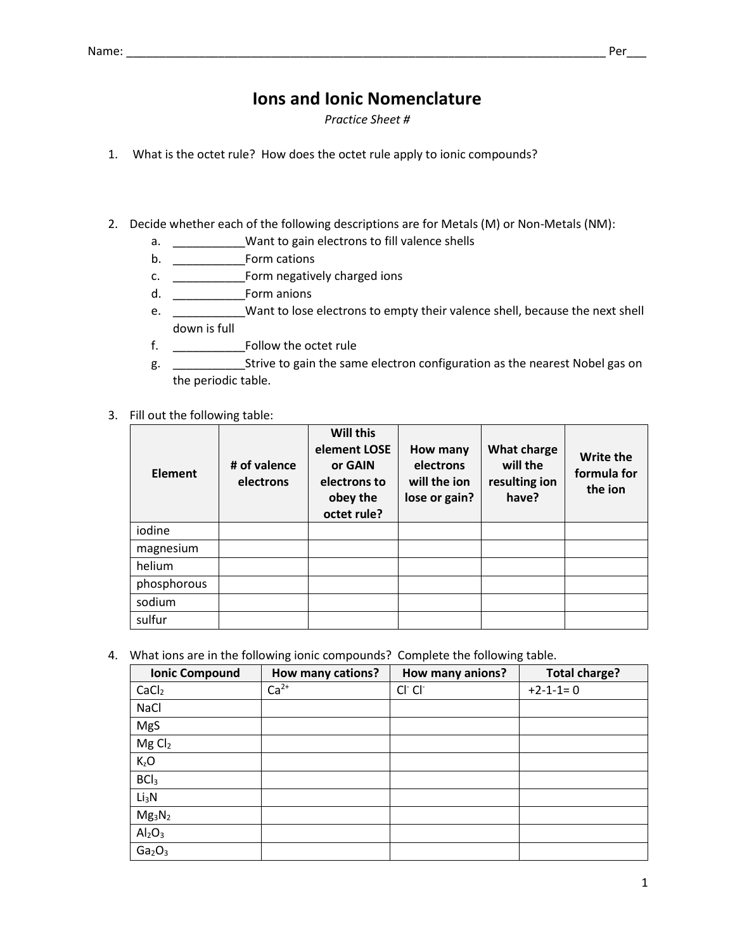## **Ions and Ionic Nomenclature**

*Practice Sheet #*

- 1. What is the octet rule? How does the octet rule apply to ionic compounds?
- 2. Decide whether each of the following descriptions are for Metals (M) or Non-Metals (NM):
	- a. \_\_\_\_\_\_\_\_\_\_\_Want to gain electrons to fill valence shells
	- b. \_\_\_\_\_\_\_\_\_\_\_Form cations
	- c. \_\_\_\_\_\_\_\_\_\_\_Form negatively charged ions
	- d. \_\_\_\_\_\_\_\_\_\_\_Form anions
	- e. \_\_\_\_\_\_\_\_\_\_\_Want to lose electrons to empty their valence shell, because the next shell down is full
	- f. \_\_\_\_\_\_\_\_\_\_\_Follow the octet rule
	- g. \_\_\_\_\_\_\_\_\_\_\_Strive to gain the same electron configuration as the nearest Nobel gas on the periodic table.
- 3. Fill out the following table:

| Element     | # of valence<br>electrons | Will this<br>element LOSE<br>or GAIN<br>electrons to<br>obey the<br>octet rule? | How many<br>electrons<br>will the jon<br>lose or gain? | <b>What charge</b><br>will the<br>resulting ion<br>have? | Write the<br>formula for<br>the ion |
|-------------|---------------------------|---------------------------------------------------------------------------------|--------------------------------------------------------|----------------------------------------------------------|-------------------------------------|
| iodine      |                           |                                                                                 |                                                        |                                                          |                                     |
| magnesium   |                           |                                                                                 |                                                        |                                                          |                                     |
| helium      |                           |                                                                                 |                                                        |                                                          |                                     |
| phosphorous |                           |                                                                                 |                                                        |                                                          |                                     |
| sodium      |                           |                                                                                 |                                                        |                                                          |                                     |
| sulfur      |                           |                                                                                 |                                                        |                                                          |                                     |

4. What ions are in the following ionic compounds? Complete the following table.

| <b>Ionic Compound</b>          | How many cations? | How many anions? | <b>Total charge?</b> |
|--------------------------------|-------------------|------------------|----------------------|
| CaCl <sub>2</sub>              | $Ca2+$            | $Cl^-Cl^-$       | $+2-1-1=0$           |
| NaCl                           |                   |                  |                      |
| MgS                            |                   |                  |                      |
| MgCl <sub>2</sub>              |                   |                  |                      |
| $K_zO$                         |                   |                  |                      |
| BCI <sub>3</sub>               |                   |                  |                      |
| Li <sub>3</sub> N              |                   |                  |                      |
| $Mg_3N_2$                      |                   |                  |                      |
| Al <sub>2</sub> O <sub>3</sub> |                   |                  |                      |
| Ga <sub>2</sub> O <sub>3</sub> |                   |                  |                      |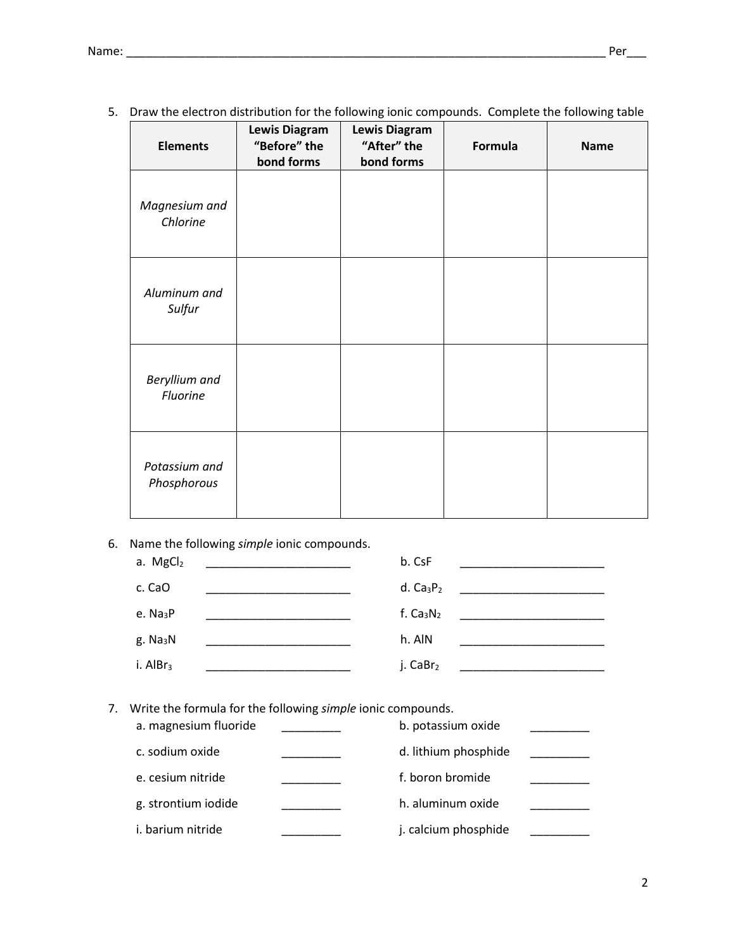| <b>Elements</b>              | Lewis Diagram<br>"Before" the<br>bond forms | <b>Lewis Diagram</b><br>"After" the<br>bond forms | Formula | <b>Name</b> |
|------------------------------|---------------------------------------------|---------------------------------------------------|---------|-------------|
| Magnesium and<br>Chlorine    |                                             |                                                   |         |             |
| Aluminum and<br>Sulfur       |                                             |                                                   |         |             |
| Beryllium and<br>Fluorine    |                                             |                                                   |         |             |
| Potassium and<br>Phosphorous |                                             |                                                   |         |             |

5. Draw the electron distribution for the following ionic compounds. Complete the following table

6. Name the following *simple* ionic compounds.

| a. MgCl2             |                                                                                                                        | b. CsF               |  |
|----------------------|------------------------------------------------------------------------------------------------------------------------|----------------------|--|
| c. CaO               | <u> 1940 - Johann John Harry Harry Harry Harry Harry Harry Harry Harry Harry Harry Harry Harry Harry Harry Harry H</u> | d. $Ca3P2$           |  |
| e. $Na3P$            | <u> 1990 - Johann John Harry Stone (d. 1980)</u>                                                                       | f. $Ca3N2$           |  |
| g. Na <sub>3</sub> N | <u> 1990 - Johann John Stone, markin</u>                                                                               | h. AIN               |  |
| i. Al $Br3$          |                                                                                                                        | j. CaBr <sub>2</sub> |  |

7. Write the formula for the following *simple* ionic compounds. a. magnesium fluoride \_\_\_\_\_\_\_\_\_ b. potassium oxide \_\_\_\_\_\_\_\_\_

| a. magnesium fluoride | b. potassium oxide   |  |
|-----------------------|----------------------|--|
| c. sodium oxide       | d. lithium phosphide |  |
| e. cesium nitride     | f. boron bromide     |  |
| g. strontium iodide   | h. aluminum oxide    |  |
| i. barium nitride     | j. calcium phosphide |  |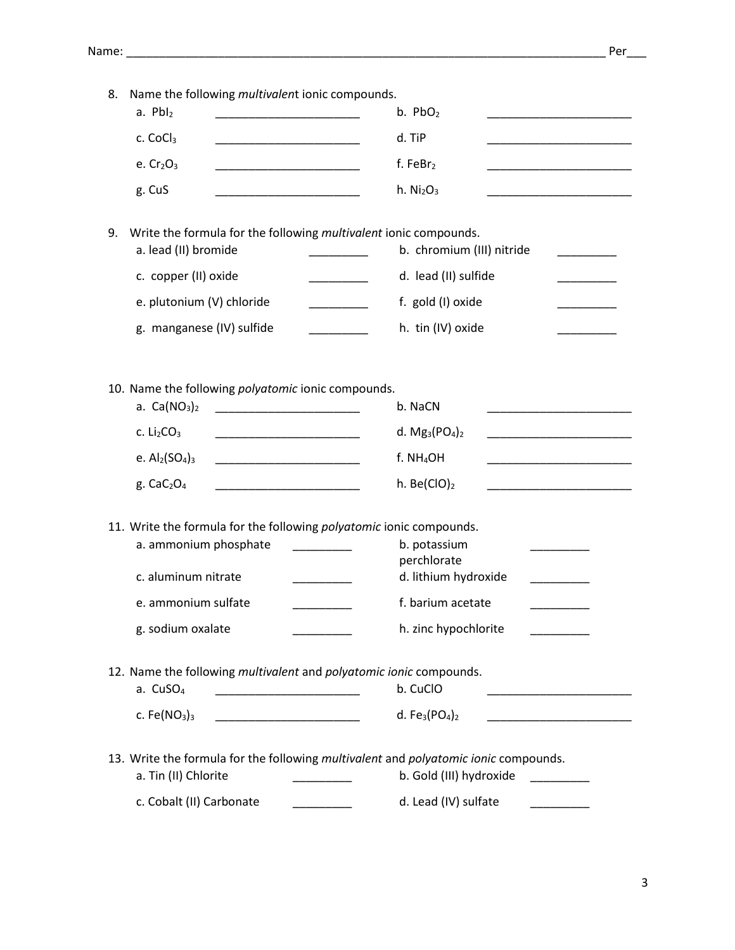| 8. | Name the following multivalent ionic compounds.                                                                                                |                                   |
|----|------------------------------------------------------------------------------------------------------------------------------------------------|-----------------------------------|
|    | $a.$ PbI <sub>2</sub>                                                                                                                          | b. $PbO2$                         |
|    | c. CoCl <sub>3</sub><br><u> 1990 - Johann John Harry Harry Harry Harry Harry Harry Harry Harry Harry Harry Harry Harry Harry Harry Harry H</u> | d. TiP                            |
|    | e. $Cr2O3$<br><u> 1990 - Johann Marie Barn, mars ar breis an t-</u>                                                                            | f. Fe $Br2$                       |
|    | g. CuS                                                                                                                                         | h. Ni <sub>2</sub> O <sub>3</sub> |
| 9. | Write the formula for the following multivalent ionic compounds.                                                                               |                                   |
|    | a. lead (II) bromide                                                                                                                           | b. chromium (III) nitride         |
|    | c. copper (II) oxide                                                                                                                           | d. lead (II) sulfide              |
|    | e. plutonium (V) chloride<br>$\mathcal{L} = \{ \mathcal{L} \}$                                                                                 | f. gold (I) oxide                 |
|    | g. manganese (IV) sulfide                                                                                                                      | h. tin (IV) oxide                 |
|    |                                                                                                                                                |                                   |
|    | 10. Name the following polyatomic ionic compounds.<br>a. $Ca(NO3)2$                                                                            | b. NaCN                           |
|    | c. $Li2CO3$<br><u> 1989 - Johann Stein, mars et al. (</u>                                                                                      | d. $Mg_3(PO_4)_2$                 |
|    | e. $Al2(SO4)3$<br><u> 1989 - Johann Barbara, martxa alemani</u> ar a                                                                           | f. NH <sub>4</sub> OH             |
|    | g. $CaC2O4$                                                                                                                                    | h. Be $(ClO)_2$                   |
|    | 11. Write the formula for the following polyatomic ionic compounds.<br>a. ammonium phosphate                                                   | b. potassium<br>perchlorate       |
|    | c. aluminum nitrate                                                                                                                            | d. lithium hydroxide              |
|    | e. ammonium sulfate                                                                                                                            | f. barium acetate                 |
|    | g. sodium oxalate                                                                                                                              | h. zinc hypochlorite              |
|    | 12. Name the following multivalent and polyatomic ionic compounds.<br>a. CuSO <sub>4</sub>                                                     | b. CuClO                          |
|    | c. Fe $(NO3)3$                                                                                                                                 | d. $Fe3(PO4)2$                    |
|    | 13. Write the formula for the following multivalent and polyatomic ionic compounds.<br>a. Tin (II) Chlorite                                    | b. Gold (III) hydroxide           |
|    | c. Cobalt (II) Carbonate                                                                                                                       | d. Lead (IV) sulfate              |
|    |                                                                                                                                                |                                   |